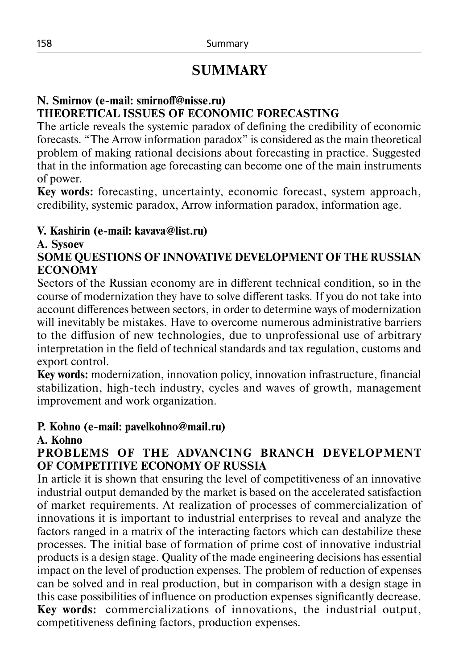## **SUMMARY**

#### **N. Smirnov (e-mail: smirnoff@nisse.ru) THEORETICAL ISSUES OF ECONOMIC FORECASTING**

The article reveals the systemic paradox of defining the credibility of economic forecasts. "The Arrow information paradox" is considered as the main theoretical problem of making rational decisions about forecasting in practice. Suggested that in the information age forecasting can become one of the main instruments of power.

**Key words:** forecasting, uncertainty, economic forecast, system approach, credibility, systemic paradox, Arrow information paradox, information age.

#### **V. Kashirin (e-mail: kavava@list.ru)**

#### **A. Sysoev**

**SOME QUESTIONS OF INNOVATIVE DEVELOPMENT OF THE RUSSIAN ECONOMY**

Sectors of the Russian economy are in different technical condition, so in the course of modernization they have to solve different tasks. If you do not take into account differences between sectors, in order to determine ways of modernization will inevitably be mistakes. Have to overcome numerous administrative barriers to the diffusion of new technologies, due to unprofessional use of arbitrary interpretation in the field of technical standards and tax regulation, customs and export control.

**Key words:** modernization, innovation policy, innovation infrastructure, financial stabilization, high-tech industry, cycles and waves of growth, management improvement and work organization.

#### **P. Kohno (e-mail: pavelkohno@mail.ru)**

#### **A. Kohno**

## **PROBLEMS OF THE ADVANCING BRANCH DEVELOPMENT OF COMPETITIVE ECONOMY OF RUSSIA**

In article it is shown that ensuring the level of competitiveness of an innovative industrial output demanded by the market is based on the accelerated satisfaction of market requirements. At realization of processes of commercialization of innovations it is important to industrial enterprises to reveal and analyze the factors ranged in a matrix of the interacting factors which can destabilize these processes. The initial base of formation of prime cost of innovative industrial products is a design stage. Quality of the made engineering decisions has essential impact on the level of production expenses. The problem of reduction of expenses can be solved and in real production, but in comparison with a design stage in this case possibilities of influence on production expenses significantly decrease. **Key words:**  commercializations of innovations, the industrial output, competitiveness defining factors, production expenses.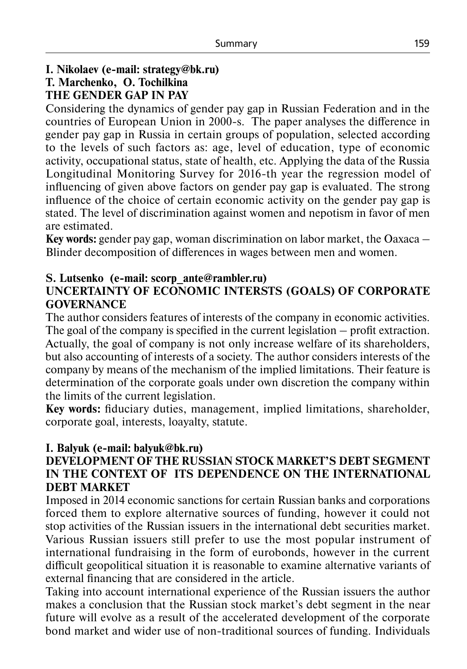## **I. Nikolaev (e-mail: strategy@bk.ru)**

# **T. Marchenko, O. Tochilkina**

## **THE GENDER GAP IN PAY**

Considering the dynamics of gender pay gap in Russian Federation and in the countries of European Union in 2000-s. The paper analyses the difference in gender pay gap in Russia in certain groups of population, selected according to the levels of such factors as: age, level of education, type of economic activity, occupational status, state of health, etc. Applying the data of the Russia Longitudinal Monitoring Survey for 2016-th year the regression model of influencing of given above factors on gender pay gap is evaluated. The strong influence of the choice of certain economic activity on the gender pay gap is stated. The level of discrimination against women and nepotism in favor of men are estimated.

**Key words:** gender pay gap, woman discrimination on labor market, the Oaxaca – Blinder decomposition of differences in wages between men and women.

## **S. Lutsenko (e-mail: scorp\_ante@rambler.ru)**

## **UNCERTAINTY OF ECONOMIC INTERSTS (GOALS) OF CORPORATE GOVERNANCE**

The author considers features of interests of the company in economic activities. The goal of the company is specified in the current legislation – profit extraction. Actually, the goal of company is not only increase welfare of its shareholders, but also accounting of interests of a society. The author considers interests of the company by means of the mechanism of the implied limitations. Their feature is determination of the corporate goals under own discretion the company within the limits of the current legislation.

**Key words:** fiduciary duties, management, implied limitations, shareholder, corporate goal, interests, loayalty, statute.

#### **I. Balyuk (e-mail: balyuk@bk.ru)**

#### **DEVELOPMENT OF THE RUSSIAN STOCK MARKET'S DEBT SEGMENT IN THE CONTEXT OF ITS DEPENDENCE ON THE INTERNATIONAL DEBT MARKET**

Imposed in 2014 economic sanctions for certain Russian banks and corporations forced them to explore alternative sources of funding, however it could not stop activities of the Russian issuers in the international debt securities market. Various Russian issuers still prefer to use the most popular instrument of international fundraising in the form of eurobonds, however in the current difficult geopolitical situation it is reasonable to examine alternative variants of external financing that are considered in the article.

Taking into account international experience of the Russian issuers the author makes a conclusion that the Russian stock market's debt segment in the near future will evolve as a result of the accelerated development of the corporate bond market and wider use of non-traditional sources of funding. Individuals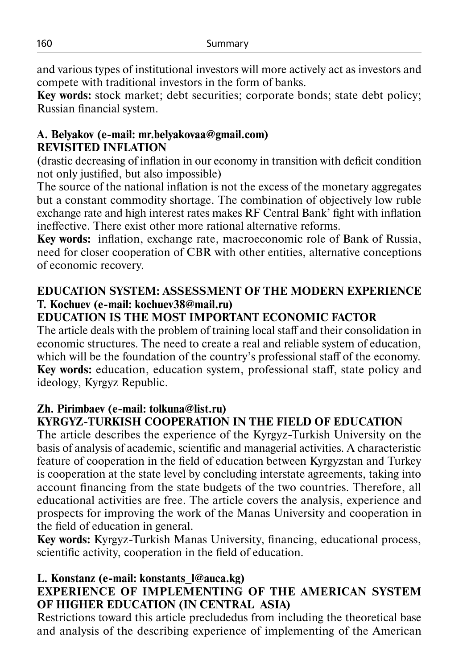and various types of institutional investors will more actively act as investors and compete with traditional investors in the form of banks.

**Key words:** stock market; debt securities; corporate bonds; state debt policy; Russian financial system.

#### **A. Belyakov (e-mail: mr.belyakovaa@gmail.com) REVISITED INFLATION**

(drastic decreasing of inflation in our economy in transition with deficit condition not only justified, but also impossible)

The source of the national inflation is not the exсess of the monetary aggregates but a constant commodity shortage. The combination of objectively low ruble exchange rate and high interest rates makes RF Central Bank' fight with inflation ineffective. There exist other more rational alternative reforms.

**Key words:** inflation, exchange rate, macroeconomic role of Bank of Russia, need for closer cooperation of CBR with other entities, alternative conceptions of economic recovery.

## **EDUCATION SYSTEM: ASSESSMENT OF THE MODERN EXPERIENCE T. Kochuev (e-mail: kochuev38@mail.ru)**

## **EDUCATION IS THE MOST IMPORTANT ECONOMIC FACTOR**

The article deals with the problem of training local staff and their consolidation in economic structures. The need to create a real and reliable system of education, which will be the foundation of the country's professional staff of the economy. **Key words:** education, education system, professional staff, state policy and ideology, Kyrgyz Republic.

## **Zh. Pirimbaev (e-mail: tolkuna@list.ru) KYRGYZ-TURKISH COOPERATION IN THE FIELD OF EDUCATION**

The article describes the experience of the Kyrgyz-Turkish University on the basis of analysis of academic, scientific and managerial activities. A characteristic feature of cooperation in the field of education between Kyrgyzstan and Turkey is cooperation at the state level by concluding interstate agreements, taking into account financing from the state budgets of the two countries. Therefore, all educational activities are free. The article covers the analysis, experience and prospects for improving the work of the Manas University and cooperation in the field of education in general.

**Key words:** Kyrgyz-Turkish Manas University, financing, educational process, scientific activity, cooperation in the field of education.

## **L. Konstanz (e-mail: konstants\_l@auca.kg)**

## **EXPERIENCE OF IMPLEMENTING OF THE AMERICAN SYSTEM OF HIGHER EDUCATION (IN CENTRAL ASIA)**

Restrictions toward this article precludedus from including the theoretical base and analysis of the describing experience of implementing of the American